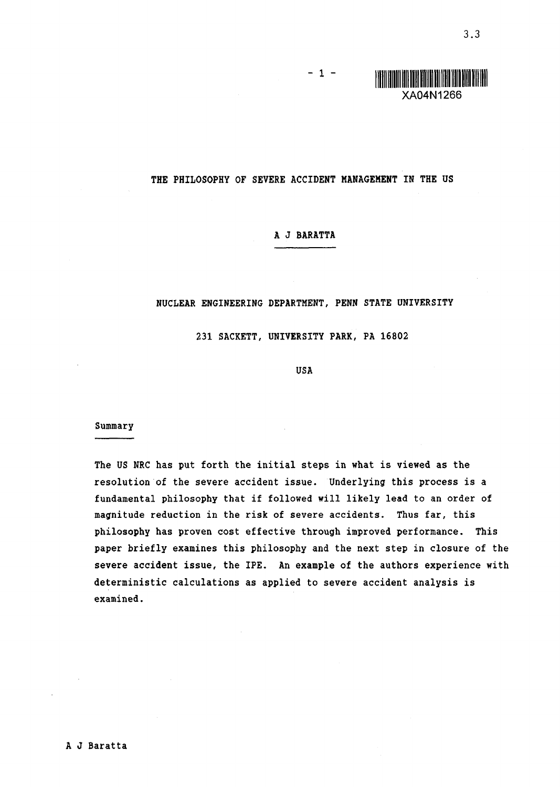3.3

#### THE PHILOSOPHY OF SEVERE ACCIDENT MANAGEMENT IN THE US

 $-1 -$ 

## A J BARATTA

### NUCLEAR ENGINEERING DEPARTMENT, PENN STATE UNIVERSITY

231 SACKETT, UNIVERSITY PARK, PA 16802

USA

#### Summary

The US NRC has put forth the initial steps in what is viewed as the resolution of the severe accident issue. Underlying this process is a fundamental philosophy that if followed will likely lead to an order of magnitude reduction in the risk of severe accidents. Thus far, this philosophy has proven cost effective through improved performance. This paper briefly examines this philosophy and the next step in closure of the severe accident issue, the IPE. An example of the authors experience with deterministic calculations as applied to severe accident analysis is examined.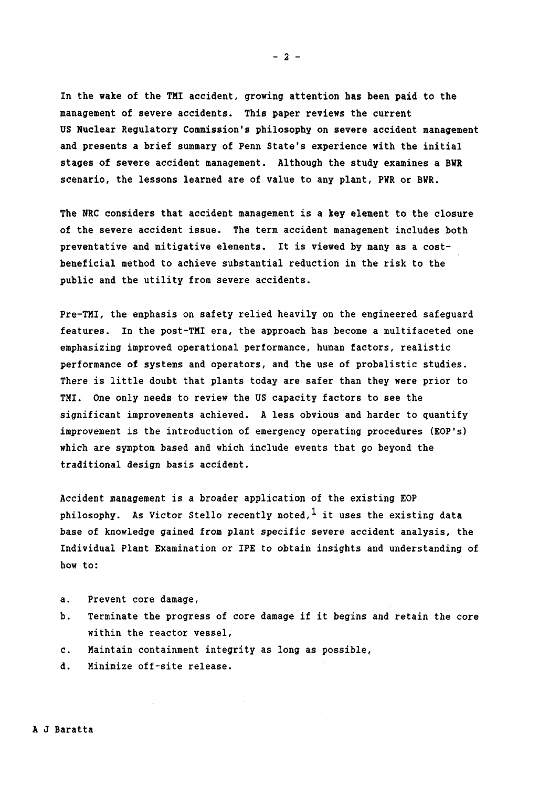In the wake of the TMI accident, growing attention has been paid to the management of severe accidents. This paper reviews the current US Nuclear Regulatory Commission's philosophy on severe accident management and presents a brief summary of Penn State's experience with the initial stages of severe accident management. Although the study examines a BWR scenario, the lessons learned are of value to any plant, PWR or BWR.

The NRC considers that accident management is a key element to the closure of the severe accident issue. The term accident management includes both preventative and mitigative elements. It is viewed by many as a costbeneficial method to achieve substantial reduction in the risk to the public and the utility from severe accidents.

Pre-TMI, the emphasis on safety relied heavily on the engineered safeguard features. In the post-TMI era, the approach has become a multifaceted one emphasizing improved operational performance, human factors, realistic performance of systems and operators, and the use of probalistic studies. There is little doubt that plants today are safer than they were prior to TMI. One only needs to review the US capacity factors to see the significant improvements achieved. A less obvious and harder to quantify improvement is the introduction of emergency operating procedures (EOP's) which are symptom based and which include events that go beyond the traditional design basis accident.

Accident management is a broader application of the existing EOP philosophy. As Victor Stello recently noted,<sup>1</sup> it uses the existing data base of knowledge gained from plant specific severe accident analysis, the Individual Plant Examination or IPE to obtain insights and understanding of how to:

- a. Prevent core damage,
- b. Terminate the progress of core damage if it begins and retain the core within the reactor vessel,
- C. Maintain containment integrity as long as possible,
- d. Minimize off-site release.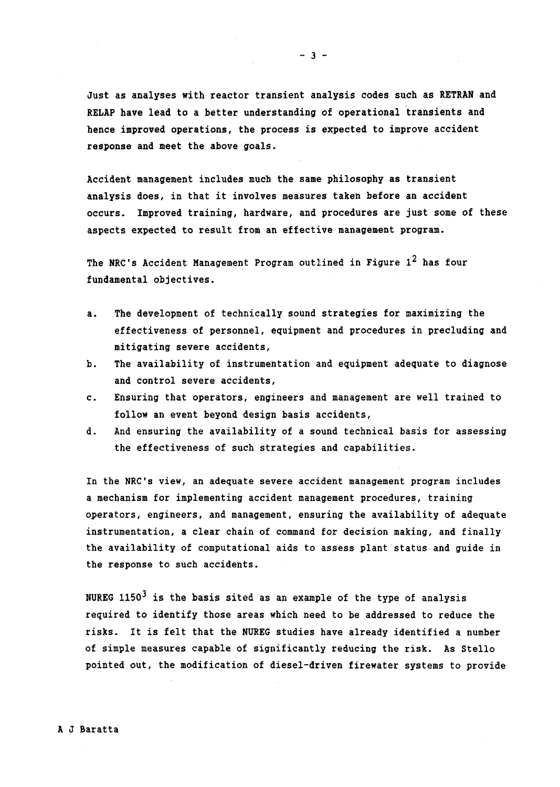Just as analyses with reactor transient analysis codes such as RETRAN and RELAP have lead to a better understanding of operational transients and hence improved operations, the process is expected to improve accident response and meet the above goals.

Accident management includes much the same philosophy as transient analysis does, in that it involves measures taken before an accident occurs. Improved training, hardware, and procedures are just some of these aspects expected to result from an effective management program.

The NRC's Accident Management Program outlined in Figure  $1^2$  has four fundamental objectives.

- a. The development of technically sound strategies for maximizing the effectiveness of personnel, equipment and procedures in precluding and mitigating severe accidents,
- b. The availability of instrumentation and equipment adequate to diagnose and control severe accidents,
- C. Ensuring that operators, engineers and management are well trained to follow an event beyond design basis accidents,
- d. And ensuring the availability of a sound technical basis for assessing the effectiveness of such strategies and capabilities.

In the NRC's view, an adequate severe accident management program includes a mechanism for implementing accident management procedures, training operators, engineers, and management, ensuring the availability of adequate instrumentation, a clear chain of command for decision making, and finally the availability of computational aids to assess plant status and guide in the response to such accidents.

NUREG 1150 $3$  is the basis sited as an example of the type of analysis required to identify those areas which need to be addressed to reduce the risks. It is felt that the NUREG studies have already identified a number of simple measures capable of significantly reducing the risk. As Stello pointed out, the modification of diesel-driven firewater systems to provide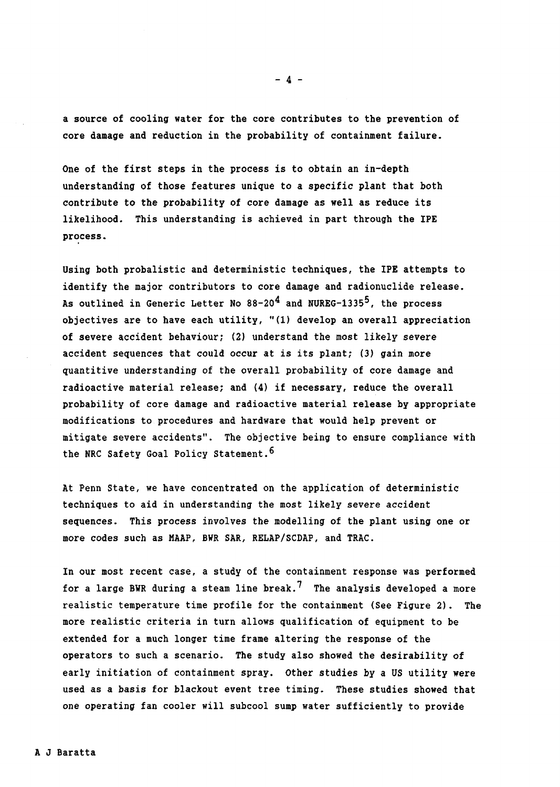a source of cooling water for the core contributes to the prevention of core damage and reduction in the probability of containment failure.

One of the first steps in the process is to obtain an in-depth understanding of those features unique to a specific plant that both contribute to the probability of core damage as well as reduce its likelihood. This understanding is achieved in part through the IPE process.

Using both probalistic and deterministic techniques, the IPE attempts to identify the major contributors to core damage and radionuclide release. As outlined in Generic Letter No  $88-20^4$  and NUREG-1335<sup>5</sup>, the process objectives are to have each utility, "(1) develop an overall appreciation of severe accident behaviour; (2) understand the most likely severe accident sequences that could occur at is its plant; (3) gain more quantitive understanding of the overall probability of core damage and radioactive material release; and (4) if necessary, reduce the overall probability of core damage and radioactive material release by appropriate modifications to procedures and hardware that would help prevent or mitigate severe accidents". The objective being to ensure compliance with the NRC Safety Goal Policy Statement.<sup>6</sup>

At Penn State, we have concentrated on the application of deterministic techniques to aid in understanding the most likely severe accident sequences. This process involves the modelling of the plant using one or more codes such as MAAP, BWR SAR, RELAP/SCDAP, and TRAC.

In our most recent case, a study of the containment response was performed for a large BWR during a steam line break.<sup>7</sup> The analysis developed a more realistic temperature time profile for the containment (See Figure 2). The more realistic criteria in turn allows qualification of equipment to be extended for a much longer time frame altering the response of the operators to such a scenario. The study also showed the desirability of early initiation of containment spray. other studies by a US utility were used as a basis for blackout event tree timing. These studies showed that one operating fan cooler will subcool sump water sufficiently to provide

 $- 4 -$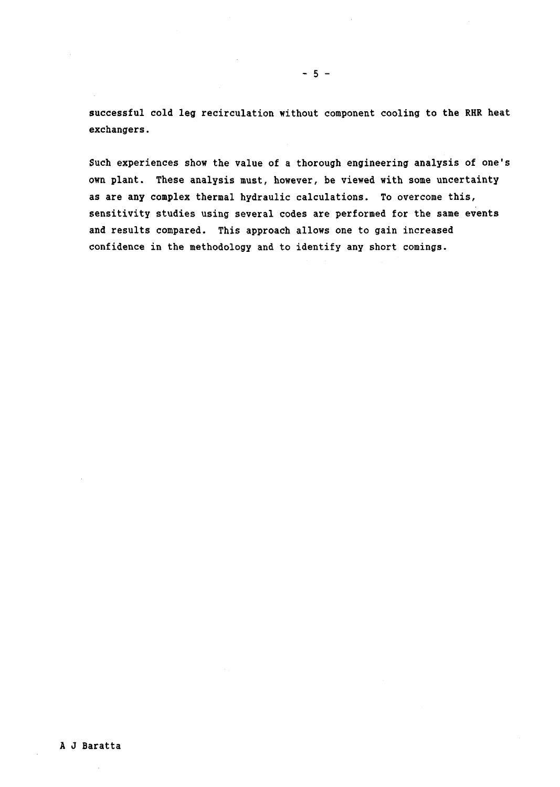successful cold leg recirculation without component cooling to the RHR heat exchangers.

Such experiences show the value of a thorough engineering analysis of one's own plant. These analysis must, however, be viewed with some uncertainty as are any complex thermal hydraulic calculations. To overcome this, sensitivity studies using several codes are performed for the same events and results compared. This approach allows one to gain increased confidence in the methodology and to identify any short comings.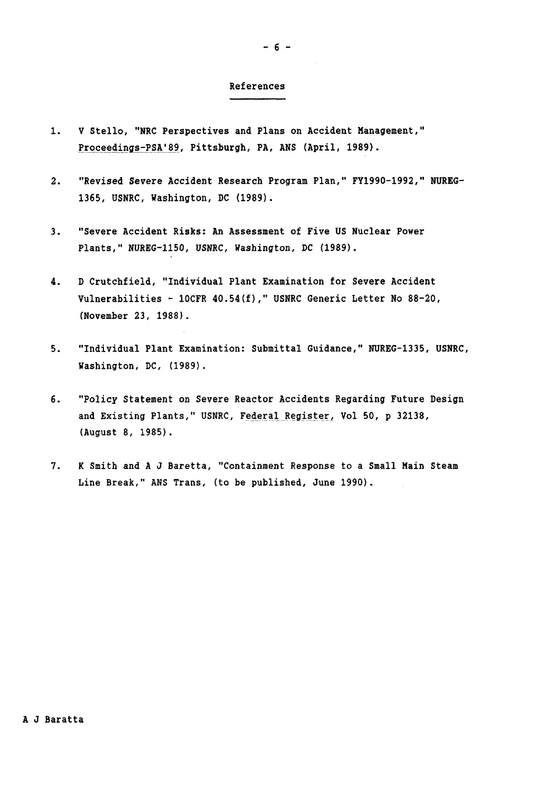#### References

- 1. V Stello, "NRC Perspectives and Plans on Accident Management," Proqeeding-FAA.'A, Pittsburgh, PA, ANS (April, 1989). <u>Proceedings-PSA'89,</u>
- 2. "Revised Severe Accident Research Program Plan," FY1990-1992," NUREG-1365, USNRC, Washington, DC (1989).
- 3. "Severe Accident Risks: An Assessment of Five US Nuclear Power Plants," NUREG-1150, USNRC, Washington, DC (1989).
- 4. D Crutchfield, "Individual Plant Examination for Severe Accident Vulnerabilities - 10CFR 40.54(f)," USNRC Generic Letter No 88-20, (November 23, 1988).
- 5. "Individual Plant Examination: Submittal Guidance," NUREG-1335, USNRC, Washington, DC, (1989).
- 6. "Policy Statement on Severe Reactor Accidents Regarding Future Design and Existing Plants," USNRC, Federal Register, Vol 50, p 32138, <u>ederal Register,</u> (August 8, 1985).
- 7. K Smith and A J Baretta, "Containment Response to a Small Main Steam Line Break," ANS Trans, (to be published, June 1990).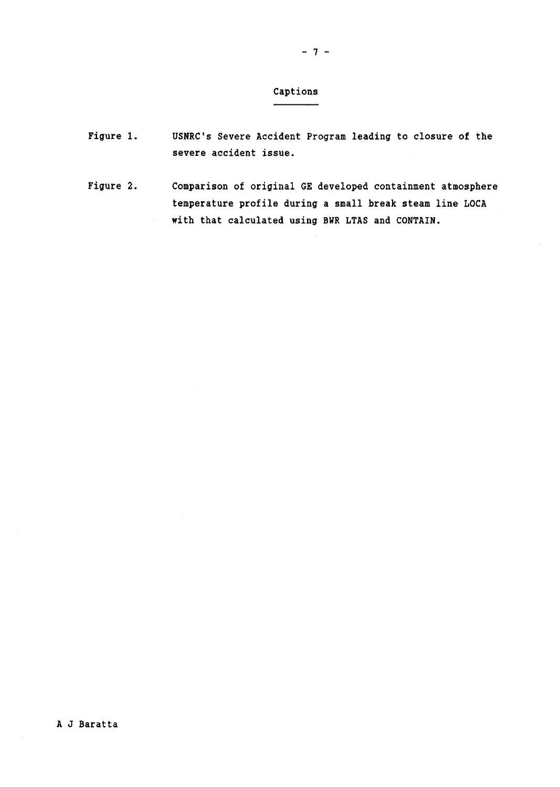- Figure 1. USNRC's Severe Accident Program leading to closure **of** the severe accident issue.
- Figure 2. Comparison of original GE developed containment atmosphere temperature profile during a small break steam line LOCA with that calculated using BWR LTAS and CONTAIN.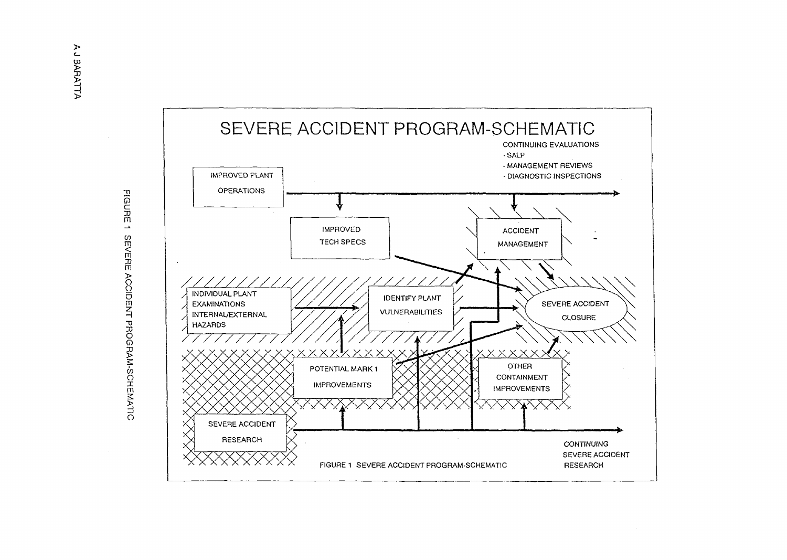

 $\subseteq$ m m m Do 0